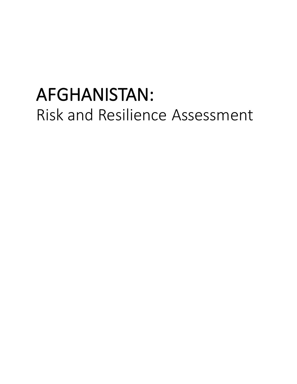# AFGHANISTAN: Risk and Resilience Assessment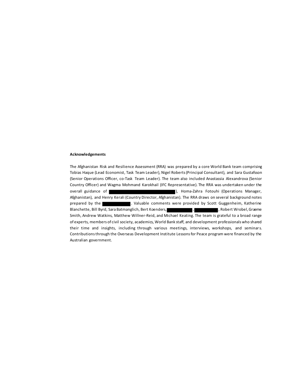#### **Acknowledgements**

The Afghanistan Risk and Resilience Assessment (RRA) was prepared by a core World Bank team comprising Tobias Haque (Lead Economist, Task Team Leader), Nigel Roberts (Principal Consultant), and Sara Gustafsson (Senior Operations Officer, co-Task Team Leader). The team also included Anastassia Alexandrova (Senior Country Officer) and Wagma Mohmand Karokhail (IFC Representative). The RRA was undertaken under the overall guidance of ), Homa-Zahra Fotouhi (Operations Manager, Afghanistan), and Henry Kerali (Country Director, Afghanistan). The RRA draws on several background notes prepared by the **. The state of the state of the state of the state of the state of the state of the state of the state of the state of the state of the state of the state of the state of the state of the state of the stat** Blanchette, Bill Byrd, Sara Batmanglich, Bert Koenders, Theory, Channel J, Robert Wrobel, Graeme Smith, Andrew Watkins, Matthew Willner-Reid, and Michael Keating. The team is grateful to a broad range of experts, members of civil society, academics, World Bank staff, and development professionals who shared their time and insights, including through various meetings, interviews, workshops, and seminars. Contributions through the Overseas Development Institute Lessons for Peace program were financed by the Australian government.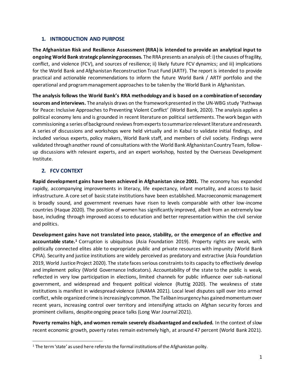#### **1. INTRODUCTION AND PURPOSE**

**The Afghanistan Risk and Resilience Assessment (RRA) is intended to provide an analytical input to ongoing World Bank strategic planning processes.** The RRA presents an analysis of: i) the causes of fragility, conflict, and violence (FCV), and sources of resilience; ii) likely future FCV dynamics; and iii) implications for the World Bank and Afghanistan Reconstruction Trust Fund (ARTF). The report is intended to provide practical and actionable recommendations to inform the future World Bank / ARTF portfolio and the operational and program management approaches to be taken by the World Bank in Afghanistan.

**The analysis follows the World Bank's RRA methodology and is based on a combination of secondary sources and interviews.** The analysis draws on the framework presented in the UN-WBG study 'Pathways for Peace: Inclusive Approaches to Preventing Violent Conflict' (World Bank, 2020). The analysis applies a political economy lens and is grounded in recent literature on political settlements. The work began with commissioning a series of background reviews from experts to summarize relevant literature and research. A series of discussions and workshops were held virtually and in Kabul to validate initial findings, and included various experts, policy makers, World Bank staff, and members of civil society. Findings were validated through another round of consultations with the World Bank Afghanistan Country Team, followup discussions with relevant experts, and an expert workshop, hosted by the Overseas Development Institute.

### **2. FCV CONTEXT**

**Rapid development gains have been achieved in Afghanistan since 2001.** The economy has expanded rapidly, accompanying improvements in literacy, life expectancy, infant mortality, and access to basic infrastructure. A core set of basic state institutions have been established. Macroeconomic management is broadly sound, and government revenues have risen to levels comparable with other low-income countries (Haque 2020). The position of women has significantly improved, albeit from an extremely low base, including through improved access to education and better representation within the civil service and politics.

**Development gains have not translated into peace, stability, or the emergence of an effective and accountable state.<sup>1</sup>** Corruption is ubiquitous (Asia Foundation 2019). Property rights are weak, with politically connected elites able to expropriate public and private resources with impunity (World Bank CPIA). Security and justice institutions are widely perceived as predatory and extractive (Asia Foundation 2019, World Justice Project 2020). The state faces serious constraints to its capacity to effectively develop and implement policy (World Governance Indicators). Accountability of the state to the public is weak, reflected in very low participation in elections, limited channels for public influence over sub-national government, and widespread and frequent political violence (Ruttig 2020). The weakness of state institutions is manifest in widespread violence (UNAMA 2021). Local level disputes spill over into armed conflict, while organized crime is increasingly common. The Taliban insurgency has gained momentum over recent years, increasing control over territory and intensifying attacks on Afghan security forces and prominent civilians, despite ongoing peace talks (Long War Journal 2021).

**Poverty remains high, and women remain severely disadvantaged and excluded.** In the context of slow recent economic growth, poverty rates remain extremely high, at around 47 percent (World Bank 2021).

 $1$  The term 'state' as used here refers to the formal institutions of the Afghanistan polity.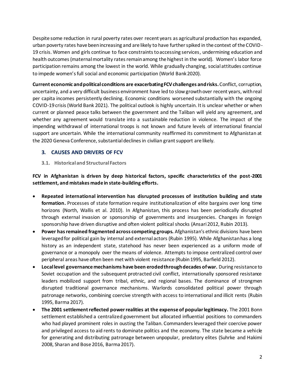Despite some reduction in rural poverty rates over recent years as agricultural production has expanded, urban poverty rates have been increasing and are likely to have further spiked in the context of the COVID-19 crisis. Women and girls continue to face constraints to accessing services, undermining education and health outcomes (maternal mortality rates remain among the highest in the world). Women's labor force participation remains among the lowest in the world. While gradually changing, social attitudes continue to impede women's full social and economic participation (World Bank 2020).

**Current economic and political conditions are exacerbating FCV challenges and risks.**Conflict, corruption, uncertainty, and a very difficult business environment have led to slow growth over recent years, with real per capita incomes persistently declining. Economic conditions worsened substantially with the ongoing COVID-19 crisis(World Bank 2021). The political outlook is highly uncertain. It is unclear whether or when current or planned peace talks between the government and the Taliban will yield any agreement, and whether any agreement would translate into a sustainable reduction in violence. The impact of the impending withdrawal of international troops is not known and future levels of international financial support are uncertain. While the international community reaffirmed its commitment to Afghanistan at the 2020 Geneva Conference, substantial declines in civilian grant support are likely.

#### **3. CAUSES AND DRIVERS OF FCV**

#### **3.1. Historical and Structural Factors**

**FCV in Afghanistan is driven by deep historical factors, specific characteristics of the post-2001 settlement, and mistakes made in state-building efforts.**

- **Repeated international intervention has disrupted processes of institution building and state formation.** Processes of state formation require institutionalization of elite bargains over long time horizons (North, Wallis et al. 2010). In Afghanistan, this process has been periodically disrupted through external invasion or sponsorship of governments and insurgencies. Changes in foreign sponsorship have driven disruptive and often violent political shocks (Ansari 2012, Rubin 2013).
- **Power has remained fragmented across competing groups.** Afghanistan's ethnic divisions have been leveraged for political gain by internal and external actors (Rubin 1995). While Afghanistan has a long history as an independent state, statehood has never been experienced as a uniform mode of governance or a monopoly over the means of violence. Attempts to impose centralized control over peripheral areas have often been met with violent resistance (Rubin 1995, Barfield 2012).
- **Local level governance mechanisms have been eroded through decades of war.** During resistance to Soviet occupation and the subsequent protracted civil conflict, internationally sponsored resistance leaders mobilized support from tribal, ethnic, and regional bases. The dominance of strongmen disrupted traditional governance mechanisms. Warlords consolidated political power through patronage networks, combining coercive strength with access to international and illicit rents (Rubin 1995, Barma 2017).
- **The 2001 settlement reflected power realities at the expense of popular legitimacy.** The 2001 Bonn settlement established a centralized government but allocated influential positions to commanders who had played prominent roles in ousting the Taliban. Commanders leveraged their coercive power and privileged access to aid rents to dominate politics and the economy. The state became a vehicle for generating and distributing patronage between unpopular, predatory elites (Suhrke and Hakimi 2008, Sharan and Bose 2016, Barma 2017).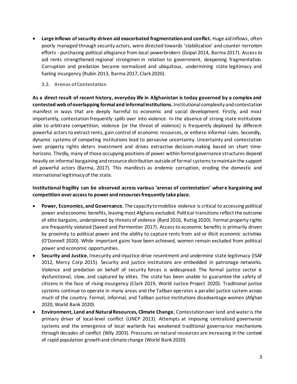• **Large inflows of security-driven aid exacerbated fragmentation and conflict.** Huge aid inflows, often poorly managed through security actors, were directed towards 'stabilization' and counter-terrorism efforts - purchasing political allegiance from local powerbrokers (Gopal 2014, Barma 2017). Access to aid rents strengthened regional strongmen in relation to government, deepening fragmentation. Corruption and predation became normalized and ubiquitous, undermining state legitimacy and fueling insurgency (Rubin 2013, Barma 2017, Clark 2020).

#### **3.2. Arenas of Contestation**

**As a direct result of recent history, everyday life in Afghanistan is today governed by a complex and contested web of overlapping formal and informal institutions.** Institutional complexity and contestation manifest in ways that are deeply harmful to economic and social development. Firstly, and most importantly, contestation frequently spills over into violence. In the absence of strong state institutions able to arbitrate competition, violence (or the threat of violence) is frequently deployed by different powerful actors to extract rents, gain control of economic resources, or enforce informal rules. Secondly, dynamic systems of competing institutions lead to pervasive uncertainty. Uncertainty and contestation over property rights deters investment and drives extractive decision-making based on short timehorizons. Thirdly, many of those occupying positions of power within formal governance structures depend heavily on informal bargaining and resource distribution outside of formal systems to maintain the support of powerful actors (Barma, 2017). This manifests as endemic corruption, eroding the domestic and international legitimacy of the state.

#### **Institutional fragility can be observed across various 'arenas of contestation' where bargaining and competition over access to power and resources frequently take place.**

- **Power, Economics, and Governance.** The capacity to mobilize violence is critical to accessing political power and economic benefits, leaving most Afghans excluded. Political transitions reflect the outcome of elite bargains, underpinned by threats of violence (Byrd 2016, Ruttig 2020). Formal property rights are frequently violated (Saeed and Parmentier 2017). Access to economic benefits is primarily driven by proximity to political power and the ability to capture rents from aid or illicit economic activities (O'Donnell 2020). While important gains have been achieved, women remain excluded from political power and economic opportunities.
- **Security and Justice.** Insecurity and injustice drive resentment and undermine state legitimacy (ISAF 2012, Mercy Corp 2015). Security and justice institutions are embedded in patronage networks. Violence and predation on behalf of security forces is widespread. The formal justice sector is dysfunctional, slow, and captured by elites. The state has been unable to guarantee the safety of citizens in the face of rising insurgency (Clark 2019, World Justice Project 2020). Traditional justice systems continue to operate in many areas and the Taliban operates a parallel justice system across much of the country. Formal, informal, and Taliban justice institutions disadvantage women (Afghan 2020, World Bank 2020).
- **Environment, Land and Natural Resources, Climate Change.** Contestation over land and water is the primary driver of local-level conflict (UNEP 2013). Attempts at imposing centralized governance systems and the emergence of local warlords has weakened traditional governance mechanisms through decades of conflict (Wily 2003). Pressures on natural resources are increasing in the context of rapid population growth and climate change (World Bank 2020).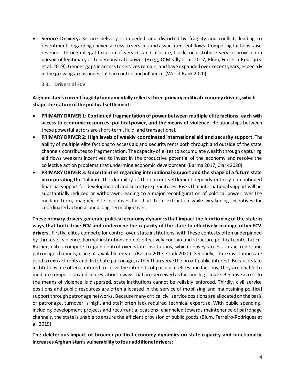• **Service Delivery.** Service delivery is impeded and distorted by fragility and conflict, leading to resentments regarding uneven access to services and associated rent flows. Competing factions raise revenues through illegal taxation of services and allocate, block, or distribute service provision in pursuit of legitimacy or to demonstrate power (Hogg, O'Meally et al. 2017, Blum, Ferreiro-Rodriquez et al. 2019). Gender gaps in access to services remain, and have expanded over recent years, especially in the growing areas under Taliban control and influence (World Bank 2020).

**3.3. Drivers of FCV**

**Afghanistan's current fragility fundamentally reflects three primary political economy drivers, which shape the nature of the political settlement**:

- **PRIMARY DRIVER 1: Continued fragmentation of power between multiple elite factions, each with access to economic resources, political power, and the means of violence.** Relationships between these powerful actors are short-term, fluid, and transactional.
- **PRIMARY DRIVER 2: High levels of weakly coordinated international aid and security support.** The ability of multiple elite factions to access aid and security rents both through and outside of the state channels contributes to fragmentation. The capacity of elites to accumulate wealth through capturing aid flows weakens incentives to invest in the productive potential of the economy and resolve the collective action problems that undermine economic development (Barma 2017, Clark 2020).
- **PRIMARY DRIVER 3: Uncertainties regarding international support and the shape of a future state incorporating the Taliban.** The durability of the current settlement depends entirely on continued financial support for developmental and security expenditures. Risks that international support will be substantially reduced or withdrawn, leading to a major reconfiguration of political power over the medium-term, magnify elite incentives for short-term extraction while weakening incentives for coordinated action around long-term objectives.

**These primary drivers generate political economy dynamics that impact the functioning of the state in ways that both drive FCV and undermine the capacity of the state to effectively manage other FCV drivers.** Firstly, elites compete for control over state institutions, with these contests often underpinned by threats of violence. Formal institutions do not effectively contain and structure political contestation. Rather, elites compete to gain control over state institutions, which convey access to aid rents and patronage channels, using all available means (Barma 2017, Clark 2020). Secondly, state institutions are used to extract rents and distribute patronage, rather than serve the broad public interest. Because state institutions are often captured to serve the interests of particular elites and factions, they are unable to mediate competition and contestation in ways that are perceived as fair and legitimate. Because access to the means of violence is dispersed, state institutions cannot be reliably enforced. Thirdly, civil service positions and public resources are often allocated in the service of mobilizing and maintaining political support through patronage networks. Because many critical civil service positions are allocated on the basis of patronage, turnover is high, and staff often lack required technical expertise. With public spending, including development projects and recurrent allocations, channeled towards maintenance of patronage channels, the state is unable to ensure the efficient provision of public goods (Blum, Ferreiro-Rodriquez et al. 2019).

**The deleterious impact of broader political economy dynamics on state capacity and functionality increases Afghanistan's vulnerability to four additional drivers**: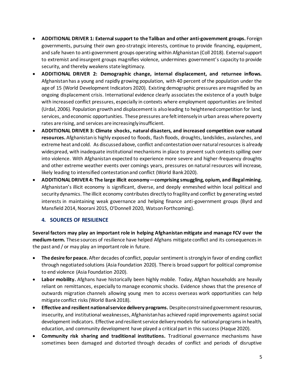- **ADDITIONAL DRIVER 1: External support to the Taliban and other anti-government groups.** Foreign governments, pursuing their own geo-strategic interests, continue to provide financing, equipment, and safe haven to anti-government groups operating within Afghanistan (Coll 2018). External support to extremist and insurgent groups magnifies violence, undermines government's capacity to provide security, and thereby weakens state legitimacy.
- **ADDITIONAL DRIVER 2: Demographic change, internal displacement, and returnee inflows.** Afghanistan has a young and rapidly growing population, with 40 percent of the population under the age of 15 (World Development Indicators 2020). Existing demographic pressures are magnified by an ongoing displacement crisis. International evidence clearly associates the existence of a youth bulge with increased conflict pressures, especially in contexts where employment opportunities are limited (Urdal, 2006). Population growth and displacement is also leading to heightened competition for land, services, and economic opportunities. These pressures are felt intensely in urban areas where poverty rates are rising, and services are increasingly insufficient.
- **ADDITIONAL DRIVER 3: Climate shocks, natural disasters, and increased competition over natural resources.** Afghanistan is highly exposed to floods, flash floods, droughts, landslides, avalanches, and extreme heat and cold. As discussed above, conflict and contestation over natural resources is already widespread, with inadequate institutional mechanisms in place to prevent such contests spilling over into violence. With Afghanistan expected to experience more severe and higher-frequency droughts and other extreme weather events over comings years, pressures on natural resources will increase, likely leading to intensified contestation and conflict (World Bank 2020).
- **ADDITIONAL DRIVER 4: The large illicit economy—comprising smuggling, opium, and illegal mining.** Afghanistan's illicit economy is significant, diverse, and deeply enmeshed within local political and security dynamics. The illicit economy contributes directly to fragility and conflict by generating vested interests in maintaining weak governance and helping finance anti-government groups (Byrd and Mansfield 2014, Noorani 2015, O'Donnell 2020, Watson Forthcoming).

#### **4. SOURCES OF RESILIENCE**

**Several factors may play an important role in helping Afghanistan mitigate and manage FCV over the medium-term.** These sources of resilience have helped Afghans mitigate conflict and its consequences in the past and / or may play an important role in future.

- **The desire for peace.** After decades of conflict, popular sentiment is strongly in favor of ending conflict through negotiated solutions (Asia Foundation 2020). There is broad support for political compromise to end violence (Asia Foundation 2020).
- **Labor mobility.** Afghans have historically been highly mobile. Today, Afghan households are heavily reliant on remittances, especially to manage economic shocks. Evidence shows that the presence of outwards migration channels allowing young men to access overseas work opportunities can help mitigate conflict risks (World Bank 2018).
- **Effective and resilient national service delivery programs.** Despite constrained government resources, insecurity, and institutional weaknesses, Afghanistan has achieved rapid improvements against social development indicators. Effective and resilient service delivery models for national programs in health, education, and community development have played a critical part in this success (Haque 2020).
- **Community risk sharing and traditional institutions.** Traditional governance mechanisms have sometimes been damaged and distorted through decades of conflict and periods of disruptive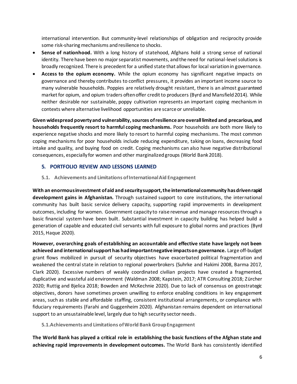international intervention. But community-level relationships of obligation and reciprocity provide some risk-sharing mechanisms and resilience to shocks.

- **Sense of nationhood.** With a long history of statehood, Afghans hold a strong sense of national identity. There have been no major separatist movements, and the need for national-level solutions is broadly recognized. There is precedent for a unified state that allows for local variation in governance.
- **Access to the opium economy.** While the opium economy has significant negative impacts on governance and thereby contributes to conflict pressures, it provides an important income source to many vulnerable households. Poppies are relatively drought resistant, there is an almost guaranteed market for opium, and opium traders often offer credit to producers (Byrd and Mansfield 2014). While neither desirable nor sustainable, poppy cultivation represents an important coping mechanism in contexts where alternative livelihood opportunities are scarce or unreliable.

**Given widespread poverty and vulnerability, sources of resilience are overall limited and precarious, and households frequently resort to harmful coping mechanisms.** Poor households are both more likely to experience negative shocks and more likely to resort to harmful coping mechanisms. The most common coping mechanisms for poor households include reducing expenditure, taking on loans, decreasing food intake and quality, and buying food on credit. Coping mechanisms can also have negative distributional consequences, especially for women and other marginalized groups (World Bank 2018).

#### **5. PORTFOLIO REVIEW AND LESSONS LEARNED**

**5.1. Achievements and Limitations of International Aid Engagement** 

**With an enormous investment of aid and security support, the international community has drivenrapid development gains in Afghanistan.** Through sustained support to core institutions, the international community has built basic service delivery capacity, supporting rapid improvements in development outcomes, including for women. Government capacity to raise revenue and manage resources through a basic financial system have been built. Substantial investment in capacity building has helped build a generation of capable and educated civil servants with full exposure to global norms and practices (Byrd 2015, Haque 2020).

**However, overarching goals of establishing an accountable and effective state have largely not been achieved and international support has had important negative impacts on governance.** Large off-budget grant flows mobilized in pursuit of security objectives have exacerbated political fragmentation and weakened the central state in relation to regional powerbrokers (Suhrke and Hakimi 2008, Barma 2017, Clark 2020). Excessive numbers of weakly coordinated civilian projects have created a fragmented, duplicative and wasteful aid environment (Waldman 2008; Kapstein, 2017; ATR Consulting 2018; Zürcher 2020; Ruttig and Bjelica 2018; Bowden and McKechnie 2020). Due to lack of consensus on geostrategic objectives, donors have sometimes proven unwilling to enforce enabling conditions in key engagement areas, such as stable and affordable staffing, consistent institutional arrangements, or compliance with fiduciary requirements (Farahi and Guggenheim 2020). Afghanistan remains dependent on international support to an unsustainable level, largely due to high security sector needs.

**5.1.Achievements and Limitations of World Bank Group Engagement** 

**The World Bank has played a critical role in establishing the basic functions of the Afghan state and achieving rapid improvements in development outcomes.** The World Bank has consistently identified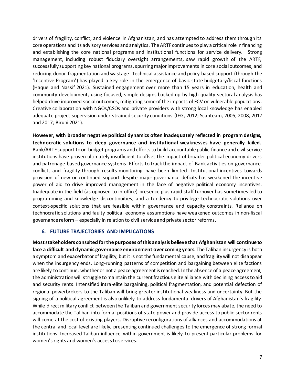drivers of fragility, conflict, and violence in Afghanistan, and has attempted to address them through its core operations and its advisory services and analytics. The ARTF continues to play a critical role in financing and establishing the core national programs and institutional functions for service delivery. Strong management, including robust fiduciary oversight arrangements, saw rapid growth of the ARTF, successfully supporting key national programs, spurring major improvements in core social outcomes, and reducing donor fragmentation and wastage. Technical assistance and policy-based support (through the 'Incentive Program') has played a key role in the emergence of basic state budgetary/fiscal functions (Haque and Nassif 2021). Sustained engagement over more than 15 years in education, health and community development, using focused, simple designs backed up by high-quality sectoral analysis has helped drive improved social outcomes, mitigating some of the impacts of FCV on vulnerable populations. Creative collaboration with NGOs/CSOs and private providers with strong local knowledge has enabled adequate project supervision under strained security conditions (IEG, 2012; Scanteam, 2005, 2008, 2012 and 2017; Biruni 2021).

**However, with broader negative political dynamics often inadequately reflected in program designs, technocratic solutions to deep governance and institutional weaknesses have generally failed.**  Bank/ARTF support to on-budget programs and efforts to build accountable public finance and civil service institutions have proven ultimately insufficient to offset the impact of broader political economy drivers and patronage-based governance systems. Efforts to track the impact of Bank activities on governance, conflict, and fragility through results monitoring have been limited. Institutional incentives towards provision of new or continued support despite major governance deficits has weakened the incentive power of aid to drive improved management in the face of negative political economy incentives. Inadequate in-the-field (as opposed to in-office) presence plus rapid staff turnover has sometimes led to programming and knowledge discontinuities, and a tendency to privilege technocratic solutions over context-specific solutions that are feasible within governance and capacity constraints. Reliance on technocratic solutions and faulty political economy assumptions have weakened outcomes in non-fiscal governance reform – especially in relation to civil service and private sector reforms.

#### **6. FUTURE TRAJECTORIES AND IMPLICATIONS**

**Most stakeholders consulted for the purposes of this analysis believe that Afghanistan will continue to face a difficult and dynamic governance environment over coming years.** The Taliban insurgency is both a symptom and exacerbator of fragility, but it is not the fundamental cause, and fragility will not disappear when the insurgency ends. Long-running patterns of competition and bargaining between elite factions are likely to continue, whether or not a peace agreement is reached. In the absence of a peace agreement, the administration will struggle to maintain the current fractious elite alliance with declining access to aid and security rents. Intensified intra-elite bargaining, political fragmentation, and potential defection of regional powerbrokers to the Taliban will bring greater institutional weakness and uncertainty. But the signing of a political agreement is also unlikely to address fundamental drivers of Afghanistan's fragility. While direct military conflict between the Taliban and government security forces may abate, the need to accommodate the Taliban into formal positions of state power and provide access to public sector rents will come at the cost of existing players. Disruptive reconfigurations of alliances and accommodations at the central and local level are likely, presenting continued challenges to the emergence of strong formal institutions. Increased Taliban influence within government is likely to present particular problems for women's rights and women's access to services.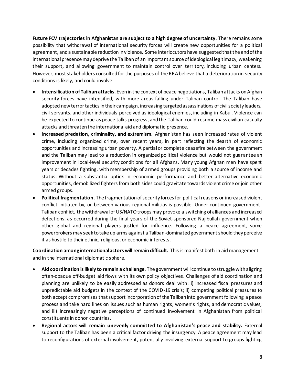**Future FCV trajectories in Afghanistan are subject to a high degree of uncertainty**. There remains some possibility that withdrawal of international security forces will create new opportunities for a political agreement, and a sustainable reduction in violence. Some interlocutors have suggested that the end of the international presence may deprive the Taliban of an important source of ideological legitimacy, weakening their support, and allowing government to maintain control over territory, including urban centers. However, most stakeholders consulted for the purposes of the RRA believe that a deterioration in security conditions is likely, and could involve:

- **Intensification of Taliban attacks.** Even in the context of peace negotiations, Taliban attacks on Afghan security forces have intensified, with more areas falling under Taliban control. The Taliban have adopted new terror tactics in their campaign, increasing targeted assassinations of civil society leaders, civil servants, and other individuals perceived as ideological enemies, including in Kabul. Violence can be expected to continue as peace talks progress, and the Taliban could resume mass civilian casualty attacks and threaten the international aid and diplomatic presence.
- **Increased predation, criminality, and extremism.** Afghanistan has seen increased rates of violent crime, including organized crime, over recent years, in part reflecting the dearth of economic opportunities and increasing urban poverty. A partial or complete ceasefire between the government and the Taliban may lead to a reduction in organized political violence but would not guarantee an improvement in local-level security conditions for all Afghans. Many young Afghan men have spent years or decades fighting, with membership of armed groups providing both a source of income and status. Without a substantial uptick in economic performance and better alternative economic opportunities, demobilized fighters from both sides could gravitate towards violent crime or join other armed groups.
- **Political fragmentation.** The fragmentation of security forces for political reasons or increased violent conflict initiated by, or between various regional militias is possible. Under continued government-Taliban conflict, the withdrawal of US/NATO troops may provoke a switching of alliances and increased defections, as occurred during the final years of the Soviet-sponsored Najibullah government when other global and regional players jostled for influence. Following a peace agreement, some powerbrokers may seek to take up arms against a Taliban-dominated government should they perceive it as hostile to their ethnic, religious, or economic interests.

**Coordination among international actors will remain difficult.** This is manifest both in aid management and in the international diplomatic sphere.

- **Aid coordination is likely to remain a challenge.** The government will continue to struggle with aligning often-opaque off-budget aid flows with its own policy objectives. Challenges of aid coordination and planning are unlikely to be easily addressed as donors deal with: i) increased fiscal pressures and unpredictable aid budgets in the context of the COVID-19 crisis; ii) competing political pressures to both accept compromises that support incorporation of the Taliban into government following a peace process and take hard lines on issues such as human rights, women's rights, and democratic values; and iii) increasingly negative perceptions of continued involvement in Afghanistan from political constituents in donor countries.
- **Regional actors will remain unevenly committed to Afghanistan's peace and stability.** External support to the Taliban has been a critical factor driving the insurgency. A peace agreement may lead to reconfigurations of external involvement, potentially involving external support to groups fighting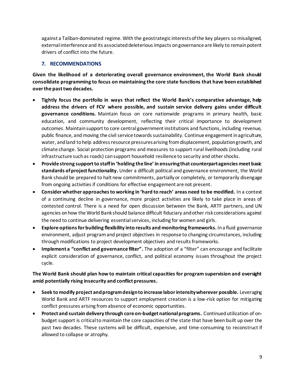against a Taliban-dominated regime. With the geostrategic interests of the key players so misaligned, external interference and its associated deleterious impacts on governance are likely to remain potent drivers of conflict into the future.

### **7. RECOMMENDATIONS**

**Given the likelihood of a deteriorating overall governance environment, the World Bank should consolidate programming to focus on maintaining the core state functions that have been established over the past two decades.**

- **Tightly focus the portfolio in ways that reflect the World Bank's comparative advantage, help address the drivers of FCV where possible, and sustain service delivery gains under difficult governance conditions.** Maintain focus on core nationwide programs in primary health, basic education, and community development, reflecting their critical importance to development outcomes. Maintain support to core central government institutions and functions, including revenue, public finance, and moving the civil service towards sustainability. Continue engagement in agriculture, water, and land to help address resource pressures arising from displacement, population growth, and climate change. Social protection programs and measures to support rural livelihoods (including rural infrastructure such as roads) can support household resilience to security and other shocks.
- **Provide strong support to staff in 'holding the line' in ensuring that counterpart agencies meet basic standards of project functionality.** Under a difficult political and governance environment, the World Bank should be prepared to halt new commitments, partially or completely, or temporarily disengage from ongoing activities if conditions for effective engagement are not present.
- **Consider whether approaches to working in 'hard to reach' areas need to be modified.** In a context of a continuing decline in governance, more project activities are likely to take place in areas of contested control. There is a need for open discussion between the Bank, ARTF partners, and UN agencies on how the World Bank should balance difficult fiduciary and other risk considerations against the need to continue delivering essential services, including for women and girls.
- **Explore options for building flexibility into results and monitoring frameworks.** In a fluid governance environment, adjust program and project objectives in response to changing circumstances, including through modifications to project development objectives and results frameworks.
- **Implement a "conflict and governance filter".** The adoption of a "filter" can encourage and facilitate explicit consideration of governance, conflict, and political economy issues throughout the project cycle.

### **The World Bank should plan how to maintain critical capacities for program supervision and oversight amid potentially rising insecurity and conflict pressures.**

- **Seek to modify project and program design to increase labor intensity wherever possible.** Leveraging World Bank and ARTF resources to support employment creation is a low-risk option for mitigating conflict pressures arising from absence of economic opportunities.
- **Protect and sustain delivery through core on-budget national programs.** Continued utilization of onbudget support is critical to maintain the core capacities of the state that have been built up over the past two decades. These systems will be difficult, expensive, and time-consuming to reconstruct if allowed to collapse or atrophy.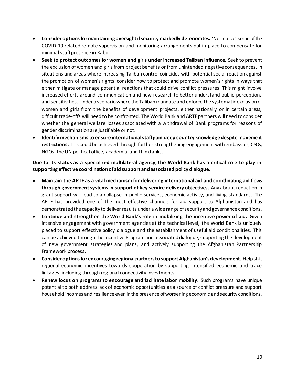- **Consider options for maintaining oversight if security markedly deteriorates.** 'Normalize' some of the COVID-19 related remote supervision and monitoring arrangements put in place to compensate for minimal staff presence in Kabul.
- **Seek to protect outcomes for women and girls under increased Taliban influence.** Seek to prevent the exclusion of women and girls from project benefits or from unintended negative consequences. In situations and areas where increasing Taliban control coincides with potential social reaction against the promotion of women's rights, consider how to protect and promote women's rights in ways that either mitigate or manage potential reactions that could drive conflict pressures. This might involve increased efforts around communication and new research to better understand public perceptions and sensitivities. Under a scenario where the Taliban mandate and enforce the systematic exclusion of women and girls from the benefits of development projects, either nationally or in certain areas, difficult trade-offs will need to be confronted. The World Bank and ARTF partners will need to consider whether the general welfare losses associated with a withdrawal of Bank programs for reasons of gender discrimination are justifiable or not.
- **Identify mechanisms to ensure international staff gain deep country knowledge despite movement**  restrictions. This could be achieved through further strengthening engagement with embassies, CSOs, NGOs, the UN political office, academia, and thinktanks.

**Due to its status as a specialized multilateral agency, the World Bank has a critical role to play in supporting effective coordination of aid support and associated policy dialogue.**

- **Maintain the ARTF as a vital mechanism for delivering international aid and coordinating aid flows through government systems in support of key service delivery objectives.** Any abrupt reduction in grant support will lead to a collapse in public services, economic activity, and living standards. The ARTF has provided one of the most effective channels for aid support to Afghanistan and has demonstrated the capacity to deliver results under a wide range of security and governance conditions.
- **Continue and strengthen the World Bank's role in mobilizing the incentive power of aid.** Given intensive engagement with government agencies at the technical level, the World Bank is uniquely placed to support effective policy dialogue and the establishment of useful aid conditionalities. This can be achieved through the Incentive Program and associated dialogue, supporting the development of new government strategies and plans, and actively supporting the Afghanistan Partnership Framework process.
- **Consider options for encouraging regional partners to support Afghanistan's development.** Help shift regional economic incentives towards cooperation by supporting intensified economic and trade linkages, including through regional connectivity investments.
- **Renew focus on programs to encourage and facilitate labor mobility.** Such programs have unique potential to both address lack of economic opportunities as a source of conflict pressure and support household incomes and resilience even in the presence of worsening economic and security conditions.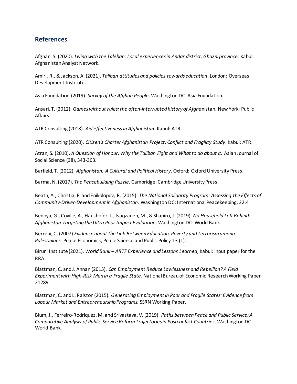## **References**

Afghan, S. (2020). *Living with the Taleban: Local experiences in Andar district, Ghazni province*. Kabul: Afghanistan Analyst Network.

Amiri, R., & Jackson, A. (2021). *Taliban attitudes and policies towards education*. London: Overseas Development Institute.

Asia Foundation (2019). *Survey of the Afghan People*. Washington DC: Asia Foundation.

Ansari, T. (2012). *Games without rules: the often-interrupted history of Afgha*nistan. New York: Public Affairs.

ATR Consulting (2018). *Aid effectiveness in Afghanistan*. Kabul: ATR

ATR Consulting (2020). *Citizen's Charter Afghanistan Project: Conflict and Fragility Study*. Kabul: ATR.

Atran, S. (2010). *A Question of Honour: Why the Taliban Fight and What to do about it.* Asian Journal of Social Science (38), 343-363.

Barfield, T. (2012). *Afghanistan: A Cultural and Political History*. Oxford: Oxford University Press.

Barma, N. (2017). *The Peacebuilding Puzzle*. Cambridge: Cambridge University Press.

Beath, A., Christia, F. and Enikolopov, R. (2015). *The National Solidarity Program: Assessing the Effects of Community-Driven Development in Afghanistan*. Washington DC: International Peacekeeping, 22:4

Bedoya, G., Coville, A., Haushofer, J., Isaqzadeh, M., & Shapiro, J. (2019). *No Household Left Behind: Afghanistan Targeting the Ultra Poor Impact Evaluation*. Washington DC: World Bank.

Berrebi, C. (2007) *Evidence about the Link Between Education, Poverty and Terrorism among Palestinians.* Peace Economics, Peace Science and Public Policy 13 (1).

Biruni Institute (2021). *World Bank – ARTF Experience and Lessons Learned*, Kabul: input paper for the RRA.

Blattman, C. and J. Annan (2015). *Can Employment Reduce Lawlessness and Rebellion? A Field Experiment with High-Risk Men in a Fragile State.* National Bureau of Economic Research Working Paper 21289.

Blattman, C. and L. Ralston (2015). *Generating Employment in Poor and Fragile States: Evidence from Labour Market and Entrepreneurship Programs.* SSRN Working Paper.

Blum, J., Ferreiro-Rodriquez, M. and Srivastava, V. (2019). *Paths between Peace and Public Service: A Comparative Analysis of Public Service Reform Trajectories in Postconflict Countries*. Washington DC: World Bank.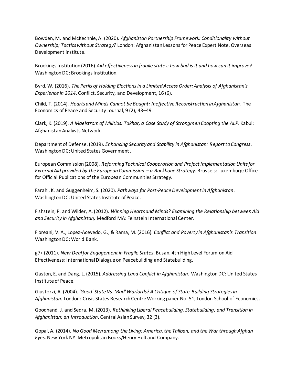Bowden, M. and McKechnie, A. (2020). *Afghanistan Partnership Framework: Conditionality without Ownership; Tactics without Strategy?* London: Afghanistan Lessons for Peace Expert Note, Overseas Development institute.

Brookings Institution (2016) *Aid effectiveness in fragile states: how bad is it and how can it improve?*  Washington DC: Brookings Institution.

Byrd, W. (2016). *The Perils of Holding Elections in a Limited Access Order: Analysis of Afghanistan's Experience in 2014*. Conflict, Security, and Development, 16 (6).

Child, T. (2014). *Hearts and Minds Cannot be Bought: Ineffective Reconstruction in Afghanistan,* The Economics of Peace and Security Journal, 9 (2), 43–49.

Clark, K. (2019). *A Maelstrom of Militias: Takhar, a Case Study of Strongmen Coopting the ALP*. Kabul: Afghanistan Analysts Network.

Department of Defense. (2019). *Enhancing Security and Stability in Afghanistan: Report to Congress*. Washington DC: United States Government .

European Commission (2008). *Reforming Technical Cooperation and Project Implementation Units for External Aid provided by the European Commission – a Backbone Strategy*. Brussels: Luxemburg: Office for Official Publications of the European Communities Strategy.

Farahi, K. and Guggenheim, S. (2020). *Pathways for Post-Peace Development in Afghanistan*. Washington DC: United States Institute of Peace.

Fishstein, P. and Wilder, A. (2012). *Winning Hearts and Minds? Examining the Relationship between Aid and Security in Afghanistan,* Medford MA: Feinstein International Center.

Floreani, V. A., Lopez-Acevedo, G., & Rama, M. (2016). *Conflict and Poverty in Afghanistan's Transition*. Washington DC: World Bank.

g7+ (2011). *New Deal for Engagement in Fragile States*, Busan, 4th High Level Forum on Aid Effectiveness: International Dialogue on Peacebuilding and Statebuilding.

Gaston, E. and Dang, L. (2015). *Addressing Land Conflict in Afghanistan*. Washington DC: United States Institute of Peace.

Giustozzi, A. (2004). *'Good' State Vs. 'Bad' Warlords? A Critique of State-Building Strategies in Afghanistan*. London: Crisis States Research Centre Working paper No. 51, London School of Economics.

Goodhand, J. and Sedra, M. (2013). *Rethinking Liberal Peacebuilding, Statebuilding, and Transition in Afghanistan: an Introduction*. Central Asian Survey, 32 (3).

Gopal, A. (2014). *No Good Men among the Living: America, the Taliban, and the War through Afghan Eyes*. New York NY: Metropolitan Books/Henry Holt and Company.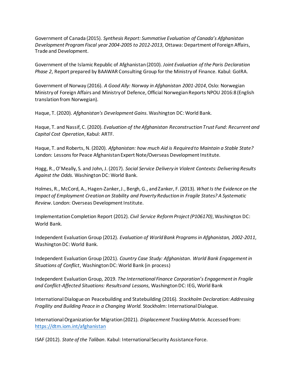Government of Canada (2015). *Synthesis Report: Summative Evaluation of Canada's Afghanistan Development Program Fiscal year 2004-2005 to 2012-2013*, Ottawa: Department of Foreign Affairs, Trade and Development.

Government of the Islamic Republic of Afghanistan (2010). *Joint Evaluation of the Paris Declaration Phase 2*, Report prepared by BAAWAR Consulting Group for the Ministry of Finance. Kabul: GoIRA.

Government of Norway (2016). *A Good Ally: Norway in Afghanistan 2001-2014*, Oslo: Norwegian Ministry of Foreign Affairs and Ministry of Defence, Official Norwegian Reports NPOU 2016:8 (English translation from Norwegian).

Haque, T. (2020). *Afghanistan's Development Gains*. Washington DC: World Bank.

Haque, T. and Nassif, C. (2020). *Evaluation of the Afghanistan Reconstruction Trust Fund: Recurrent and Capital Cost Operation*, Kabul: ARTF.

Haque, T. and Roberts, N. (2020). *Afghanistan: how much Aid is Required to Maintain a Stable State?*  London: Lessons for Peace Afghanistan Expert Note/Overseas Development Institute.

Hogg, R., O'Meally, S. and John, J. (2017). *Social Service Delivery in Violent Contexts: Delivering Results Against the Odds*. Washington DC: World Bank.

Holmes, R., McCord, A., Hagen-Zanker, J., Bergh, G., and Zanker, F. (2013). *What Is the Evidence on the Impact of Employment Creation on Stability and Poverty Reduction in Fragile States? A Systematic Review*. London: Overseas Development Institute.

Implementation Completion Report (2012). *Civil Service Reform Project (P106170)*, Washington DC: World Bank.

Independent Evaluation Group (2012). *Evaluation of World Bank Programs in Afghanistan, 2002-2011*, Washington DC: World Bank.

Independent Evaluation Group (2021). *Country Case Study: Afghanistan*. *World Bank Engagement in Situations of Conflict*, Washington DC: World Bank (in process)

Independent Evaluation Group, 2019. *The International Finance Corporation's Engagement in Fragile and Conflict-Affected Situations: Results and Lessons*, Washington DC: IEG, World Bank

International Dialogue on Peacebuilding and Statebuilding (2016). *Stockholm Declaration: Addressing Fragility and Building Peace in a Changing World.* Stockholm: International Dialogue.

International Organization for Migration (2021). *Displacement Tracking Matrix.* Accessed from: https://dtm.iom.int/afghanistan

ISAF (2012). *State of the Taliban*. Kabul: International Security Assistance Force.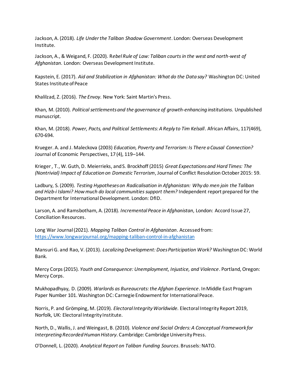Jackson, A. (2018). *Life Under the Taliban Shadow Government*. London: Overseas Development Institute.

Jackson, A., & Weigand, F. (2020). R*ebel Rule of Law: Taliban courts in the west and north-west of Afghanistan*. London: Overseas Development Institute.

Kapstein, E. (2017). *Aid and Stabilization in Afghanistan: What do the Data say?* Washington DC: United States Institute of Peace

Khalilzad, Z. (2016). *The Envoy*. New York: Saint Martin's Press.

Khan, M. (2010). *Political settlements and the governance of growth-enhancing institutions*. Unpublished manuscript.

Khan, M. (2018). *Power, Pacts, and Political Settlements: A Reply to Tim Kelsall*. African Affairs, 117(469), 670-694.

Krueger. A. and J. Maleckova (2003) *Education, Poverty and Terrorism: Is There a Causal Connection?* Journal of Economic Perspectives, 17 (4), 119–144.

Krieger , T., W. Guth, D. Meierrieks, and S. Brockhoff (2015) *Great Expectations and Hard Times: The (Nontrivial) Impact of Education on Domestic Terrorism*, Journal of Conflict Resolution October 2015: 59.

Ladbury, S. (2009). *Testing Hypotheses on Radicalisation in Afghanistan: Why do men join the Taliban and Hizb-i Islami? How much do local communities support them?* Independent report prepared for the Department for International Development. London: DfID.

Larson, A. and Ramsbotham, A. (2018). *Incremental Peace in Afghanistan*, London: Accord Issue 27, Conciliation Resources.

Long War Journal (2021). *Mapping Taliban Control in Afghanistan*. Accessed from: https://www.longwarjournal.org/mapping-taliban-control-in-afghanistan

Mansuri G. and Rao, V. (2013). *Localizing Development: Does Participation Work?* Washington DC: World Bank.

Mercy Corps (2015). *Youth and Consequence: Unemployment, Injustice, and Violence*. Portland, Oregon: Mercy Corps.

Mukhopadhyay, D. (2009). *Warlords as Bureaucrats: the Afghan Experience*. In Middle East Program Paper Number 101. Washington DC: Carnegie Endowment for International Peace.

Norris, P. and Grömping, M. (2019). *Electoral Integrity Worldwide.* Electoral Integrity Report 2019, Norfolk, UK: Electoral Integrity Institute.

North, D., Wallis, J. and Weingast, B. (2010). *Violence and Social Orders: A Conceptual Framework for Interpreting Recorded Human History*. Cambridge: Cambridge University Press.

O'Donnell, L. (2020). *Analytical Report on Taliban Funding Sources*. Brussels: NATO.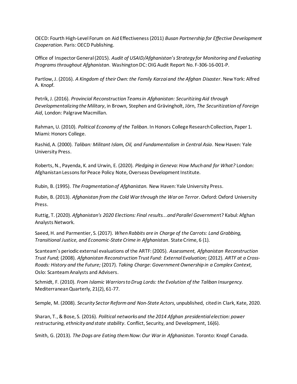OECD: Fourth High-Level Forum on Aid Effectiveness (2011) *Busan Partnership for Effective Development Cooperation*. Paris: OECD Publishing.

Office of Inspector General (2015). *Audit of USAID/Afghanistan's Strategy for Monitoring and Evaluating Programs throughout Afghanistan*. Washington DC: OIG Audit Report No. F-306-16-001-P.

Partlow, J. (2016). *A Kingdom of their Own: the Family Karzai and the Afghan Disaster*. New York: Alfred A. Knopf.

Petrík, J. (2016). *Provincial Reconstruction Teams in Afghanistan: Securitizing Aid through Developmentalizing the Military*, in Brown, Stephen and Grävingholt, Jörn, *The Securitization of Foreign Aid*, London: Palgrave Macmillan.

Rahman, U. (2010). *Political Economy of the Taliban*. In Honors College Research Collection, Paper 1. Miami: Honors College.

Rashid, A. (2000). *Taliban: Militant Islam, Oil, and Fundamentalism in Central Asia*. New Haven: Yale University Press.

Roberts, N., Payenda, K. and Urwin, E. (2020). *Pledging in Geneva: How Much and for What?* London: Afghanistan Lessons for Peace Policy Note, Overseas Development Institute.

Rubin, B. (1995). *The Fragmentation of Afghanistan.* New Haven: Yale University Press.

Rubin, B. (2013). *Afghanistan from the Cold War through the War on Terror*. Oxford: Oxford University Press.

Ruttig, T. (2020). *Afghanistan's 2020 Elections: Final results...and Parallel Governmen*t? Kabul: Afghan Analysts Network.

Saeed, H. and Parmentier, S. (2017). *When Rabbits are in Charge of the Carrots: Land Grabbing, Transitional Justice, and Economic-State Crime in Afghanistan*. State Crime, 6 (1).

Scanteam's periodic external evaluations of the ARTF: (2005). *Assessment, Afghanistan Reconstruction Trust Fund;* (2008). *Afghanistan Reconstruction Trust Fund: External Evaluation;* (2012). *ARTF at a Cross-Roads: History and the Future;* (2017). *Taking Charge: Government Ownership in a Complex Context,*  Oslo: Scanteam Analysts and Advisers.

Schmidt, F. (2010). *From Islamic Warriors to Drug Lords: the Evolution of the Taliban Insurgency.* Mediterranean Quarterly, 21(2), 61-77.

Semple, M. (2008). *Security Sector Reform and Non-State Actors*, unpublished, cited in Clark, Kate, 2020.

Sharan, T., & Bose, S. (2016). *Political networks and the 2014 Afghan presidential election: power restructuring, ethnicity and state stability*. Conflict, Security, and Development, 16(6).

Smith, G. (2013). *The Dogs are Eating them Now: Our War in Afghanistan*. Toronto: Knopf Canada.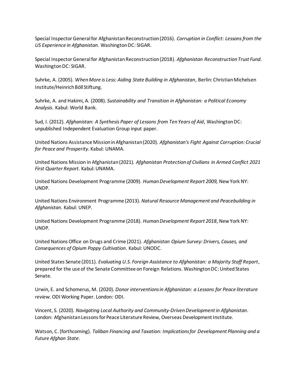Special Inspector General for Afghanistan Reconstruction (2016). *Corruption in Conflict: Lessons from the US Experience in Afghanistan.* Washington DC: SIGAR.

Special Inspector General for Afghanistan Reconstruction (2018). *Afghanistan Reconstruction Trust Fund.*  Washington DC: SIGAR.

Suhrke, A. (2005). *When More is Less: Aiding State Building in Afghanistan*, Berlin: Christian Michelsen Institute/Heinrich Böll Stiftung.

Suhrke, A. and Hakimi, A. (2008). *Sustainability and Transition in Afghanistan: a Political Economy Analysis*. Kabul: World Bank.

Sud, I. (2012). *Afghanistan: A Synthesis Paper of Lessons from Ten Years of Aid*, Washington DC: unpublished Independent Evaluation Group input paper.

United Nations Assistance Mission in Afghanistan (2020). *Afghanistan's Fight Against Corruption: Crucial for Peace and Prosperity*. Kabul: UNAMA.

United Nations Mission in Afghanistan (2021). *Afghanistan Protection of Civilians in Armed Conflict 2021 First Quarter Report.* Kabul: UNAMA.

United Nations Development Programme (2009). *Human Development Report 2009,* New York NY: UNDP.

United Nations Environment Programme (2013). *Natural Resource Management and Peacebuilding in Afghanistan*. Kabul: UNEP.

United Nations Development Programme (2018). *Human Development Report 2018*, New York NY: UNDP.

United Nations Office on Drugs and Crime (2021). *Afghanistan Opium Survey: Drivers, Causes, and Consequences of Opium Poppy Cultivation*. Kabul: UNODC.

United States Senate (2011). *Evaluating U.S. Foreign Assistance to Afghanistan: a Majority Staff Report*, prepared for the use of the Senate Committee on Foreign Relations. Washington DC: United States Senate.

Urwin, E. and Schomerus, M. (2020). *Donor interventions in Afghanistan: a Lessons for Peace literature review.* ODI Working Paper. London: ODI.

Vincent, S. (2020). *Navigating Local Authority and Community-Driven Development in Afghanistan*. London: Afghanistan Lessons for Peace Literature Review, Overseas Development Institute.

Watson, C. (forthcoming). *Taliban Financing and Taxation: Implications for Development Planning and a Future Afghan State*.